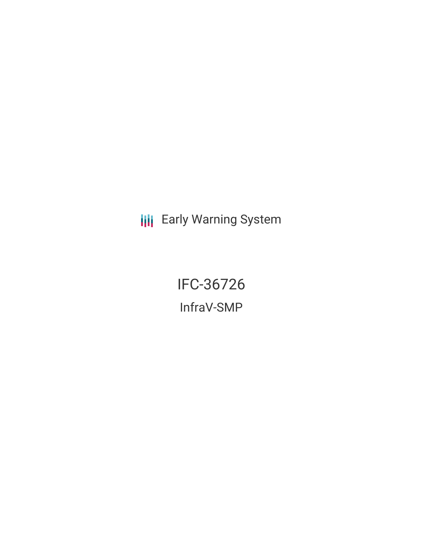**III** Early Warning System

IFC-36726 InfraV-SMP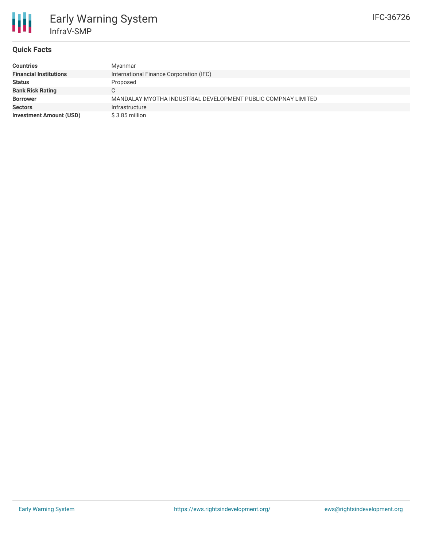

## **Quick Facts**

| <b>Countries</b>               | Myanmar                                                       |
|--------------------------------|---------------------------------------------------------------|
| <b>Financial Institutions</b>  | International Finance Corporation (IFC)                       |
| <b>Status</b>                  | Proposed                                                      |
| <b>Bank Risk Rating</b>        | C.                                                            |
| <b>Borrower</b>                | MANDALAY MYOTHA INDUSTRIAL DEVELOPMENT PUBLIC COMPNAY LIMITED |
| <b>Sectors</b>                 | Infrastructure                                                |
| <b>Investment Amount (USD)</b> | \$3.85 million                                                |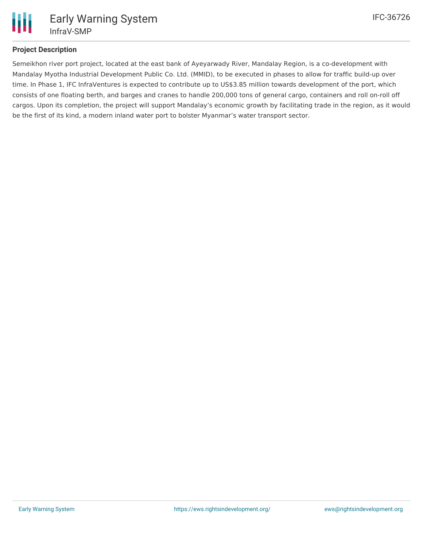

## **Project Description**

Semeikhon river port project, located at the east bank of Ayeyarwady River, Mandalay Region, is a co-development with Mandalay Myotha Industrial Development Public Co. Ltd. (MMID), to be executed in phases to allow for traffic build-up over time. In Phase 1, IFC InfraVentures is expected to contribute up to US\$3.85 million towards development of the port, which consists of one floating berth, and barges and cranes to handle 200,000 tons of general cargo, containers and roll on-roll off cargos. Upon its completion, the project will support Mandalay's economic growth by facilitating trade in the region, as it would be the first of its kind, a modern inland water port to bolster Myanmar's water transport sector.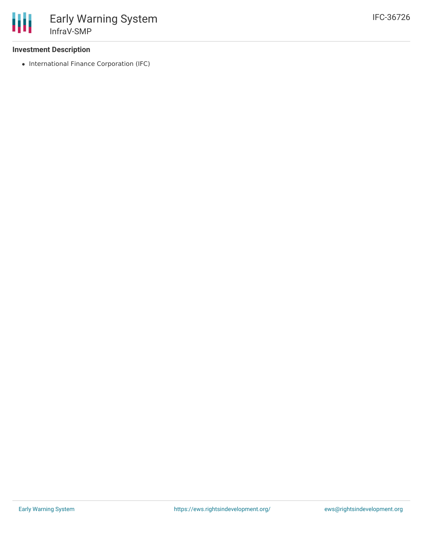## **Investment Description**

• International Finance Corporation (IFC)